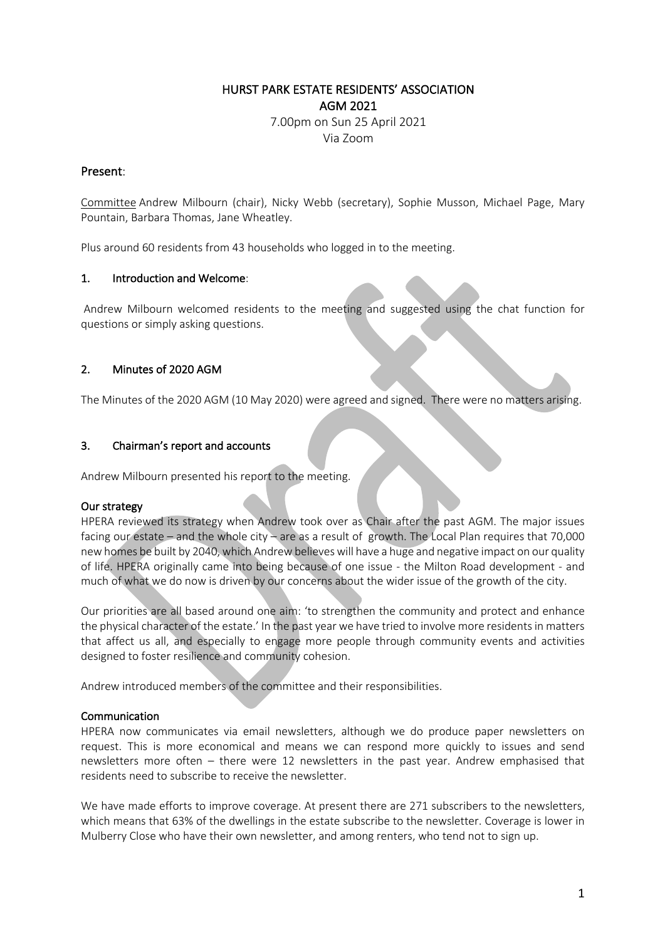# HURST PARK ESTATE RESIDENTS' ASSOCIATION AGM 2021 7.00pm on Sun 25 April 2021 Via Zoom

### Present:

Committee Andrew Milbourn (chair), Nicky Webb (secretary), Sophie Musson, Michael Page, Mary Pountain, Barbara Thomas, Jane Wheatley.

Plus around 60 residents from 43 households who logged in to the meeting.

### 1. Introduction and Welcome:

Andrew Milbourn welcomed residents to the meeting and suggested using the chat function for questions or simply asking questions.

### 2. Minutes of 2020 AGM

The Minutes of the 2020 AGM (10 May 2020) were agreed and signed. There were no matters arising.

### 3. Chairman's report and accounts

Andrew Milbourn presented his report to the meeting.

#### Our strategy

HPERA reviewed its strategy when Andrew took over as Chair after the past AGM. The major issues facing our estate – and the whole city – are as a result of growth. The Local Plan requires that 70,000 new homes be built by 2040, which Andrew believes will have a huge and negative impact on our quality of life. HPERA originally came into being because of one issue - the Milton Road development - and much of what we do now is driven by our concerns about the wider issue of the growth of the city.

Our priorities are all based around one aim: 'to strengthen the community and protect and enhance the physical character of the estate.' In the past year we have tried to involve more residents in matters that affect us all, and especially to engage more people through community events and activities designed to foster resilience and community cohesion.

Andrew introduced members of the committee and their responsibilities.

### Communication

HPERA now communicates via email newsletters, although we do produce paper newsletters on request. This is more economical and means we can respond more quickly to issues and send newsletters more often – there were 12 newsletters in the past year. Andrew emphasised that residents need to subscribe to receive the newsletter.

We have made efforts to improve coverage. At present there are 271 subscribers to the newsletters, which means that 63% of the dwellings in the estate subscribe to the newsletter. Coverage is lower in Mulberry Close who have their own newsletter, and among renters, who tend not to sign up.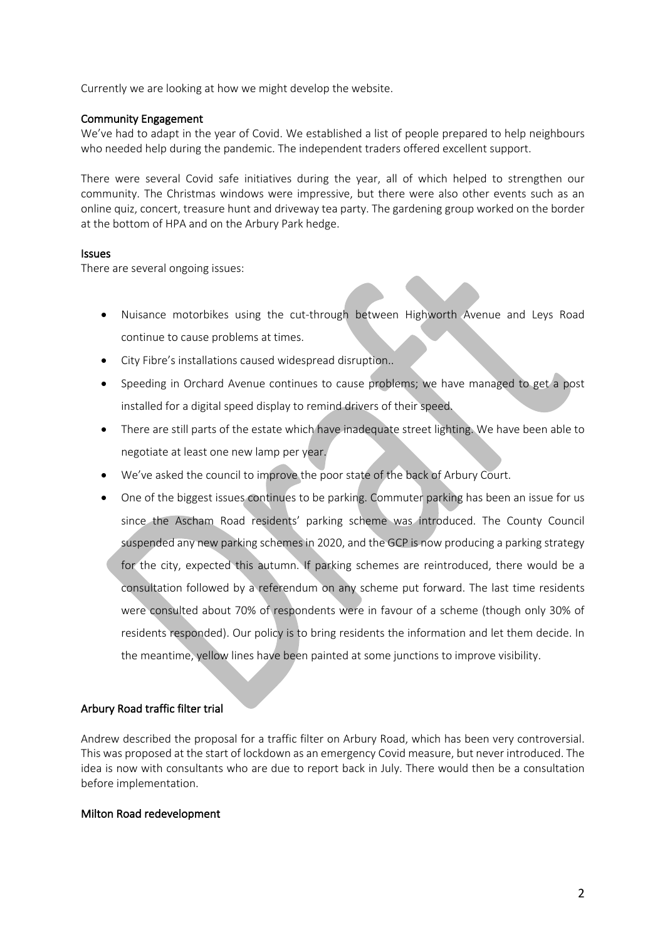Currently we are looking at how we might develop the website.

#### Community Engagement

We've had to adapt in the year of Covid. We established a list of people prepared to help neighbours who needed help during the pandemic. The independent traders offered excellent support.

There were several Covid safe initiatives during the year, all of which helped to strengthen our community. The Christmas windows were impressive, but there were also other events such as an online quiz, concert, treasure hunt and driveway tea party. The gardening group worked on the border at the bottom of HPA and on the Arbury Park hedge.

#### Issues

There are several ongoing issues:

- Nuisance motorbikes using the cut-through between Highworth Avenue and Leys Road continue to cause problems at times.
- City Fibre's installations caused widespread disruption..
- Speeding in Orchard Avenue continues to cause problems; we have managed to get a post installed for a digital speed display to remind drivers of their speed.
- There are still parts of the estate which have inadequate street lighting. We have been able to negotiate at least one new lamp per year.
- We've asked the council to improve the poor state of the back of Arbury Court.
- One of the biggest issues continues to be parking. Commuter parking has been an issue for us since the Ascham Road residents' parking scheme was introduced. The County Council suspended any new parking schemes in 2020, and the GCP is now producing a parking strategy for the city, expected this autumn. If parking schemes are reintroduced, there would be a consultation followed by a referendum on any scheme put forward. The last time residents were consulted about 70% of respondents were in favour of a scheme (though only 30% of residents responded). Our policy is to bring residents the information and let them decide. In the meantime, yellow lines have been painted at some junctions to improve visibility.

#### Arbury Road traffic filter trial

Andrew described the proposal for a traffic filter on Arbury Road, which has been very controversial. This was proposed at the start of lockdown as an emergency Covid measure, but never introduced. The idea is now with consultants who are due to report back in July. There would then be a consultation before implementation.

### Milton Road redevelopment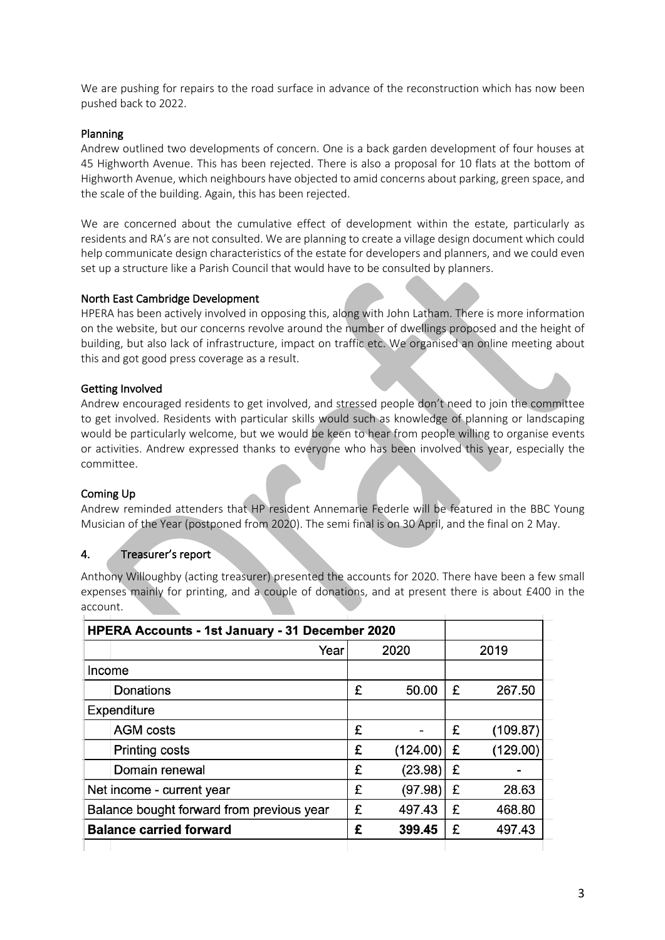We are pushing for repairs to the road surface in advance of the reconstruction which has now been pushed back to 2022.

### Planning

Andrew outlined two developments of concern. One is a back garden development of four houses at 45 Highworth Avenue. This has been rejected. There is also a proposal for 10 flats at the bottom of Highworth Avenue, which neighbours have objected to amid concerns about parking, green space, and the scale of the building. Again, this has been rejected.

We are concerned about the cumulative effect of development within the estate, particularly as residents and RA's are not consulted. We are planning to create a village design document which could help communicate design characteristics of the estate for developers and planners, and we could even set up a structure like a Parish Council that would have to be consulted by planners.

#### North East Cambridge Development

HPERA has been actively involved in opposing this, along with John Latham. There is more information on the website, but our concerns revolve around the number of dwellings proposed and the height of building, but also lack of infrastructure, impact on traffic etc. We organised an online meeting about this and got good press coverage as a result.

#### Getting Involved

Andrew encouraged residents to get involved, and stressed people don't need to join the committee to get involved. Residents with particular skills would such as knowledge of planning or landscaping would be particularly welcome, but we would be keen to hear from people willing to organise events or activities. Andrew expressed thanks to everyone who has been involved this year, especially the committee.

#### Coming Up

Andrew reminded attenders that HP resident Annemarie Federle will be featured in the BBC Young Musician of the Year (postponed from 2020). The semi final is on 30 April, and the final on 2 May.

#### 4. Treasurer's report

Anthony Willoughby (acting treasurer) presented the accounts for 2020. There have been a few small expenses mainly for printing, and a couple of donations, and at present there is about £400 in the account.

| <b>HPERA Accounts - 1st January - 31 December 2020</b> |   |          |   |          |
|--------------------------------------------------------|---|----------|---|----------|
| Year                                                   |   | 2020     |   | 2019     |
| Income                                                 |   |          |   |          |
| <b>Donations</b>                                       | £ | 50.00    | £ | 267.50   |
| Expenditure                                            |   |          |   |          |
| AGM costs                                              | £ |          | £ | (109.87) |
| <b>Printing costs</b>                                  | £ | (124.00) | £ | (129.00) |
| Domain renewal                                         | £ | (23.98)  | £ |          |
| Net income - current year                              | £ | (97.98)  | £ | 28.63    |
| Balance bought forward from previous year              | £ | 497.43   | £ | 468.80   |
| <b>Balance carried forward</b>                         | £ | 399.45   | £ | 497.43   |
|                                                        |   |          |   |          |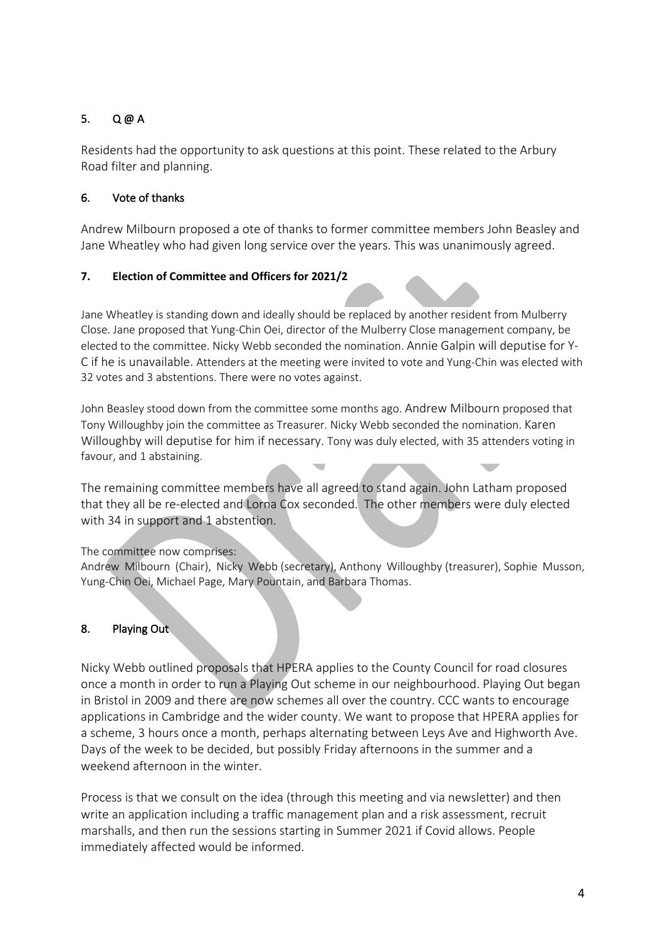# 5. Q @ A

Residents had the opportunity to ask questions at this point. These related to the Arbury Road filter and planning.

# 6. Vote of thanks

Andrew Milbourn proposed a ote of thanks to former committee members John Beasley and Jane Wheatley who had given long service over the years. This was unanimously agreed.

# **7. Election of Committee and Officers for 2021/2**

Jane Wheatley is standing down and ideally should be replaced by another resident from Mulberry Close. Jane proposed that Yung-Chin Oei, director of the Mulberry Close management company, be elected to the committee. Nicky Webb seconded the nomination. Annie Galpin will deputise for Y-C if he is unavailable. Attenders at the meeting were invited to vote and Yung-Chin was elected with 32 votes and 3 abstentions. There were no votes against.

John Beasley stood down from the committee some months ago. Andrew Milbourn proposed that Tony Willoughby join the committee as Treasurer. Nicky Webb seconded the nomination. Karen Willoughby will deputise for him if necessary. Tony was duly elected, with 35 attenders voting in favour, and 1 abstaining.

The remaining committee members have all agreed to stand again. John Latham proposed that they all be re-elected and Lorna Cox seconded. The other members were duly elected with 34 in support and 1 abstention.

# The committee now comprises:

Andrew Milbourn (Chair), Nicky Webb (secretary), Anthony Willoughby (treasurer), Sophie Musson, Yung-Chin Oei, Michael Page, Mary Pountain, and Barbara Thomas.

# 8. Playing Out

Nicky Webb outlined proposals that HPERA applies to the County Council for road closures once a month in order to run a Playing Out scheme in our neighbourhood. Playing Out began in Bristol in 2009 and there are now schemes all over the country. CCC wants to encourage applications in Cambridge and the wider county. We want to propose that HPERA applies for a scheme, 3 hours once a month, perhaps alternating between Leys Ave and Highworth Ave. Days of the week to be decided, but possibly Friday afternoons in the summer and a weekend afternoon in the winter.

Process is that we consult on the idea (through this meeting and via newsletter) and then write an application including a traffic management plan and a risk assessment, recruit marshalls, and then run the sessions starting in Summer 2021 if Covid allows. People immediately affected would be informed.